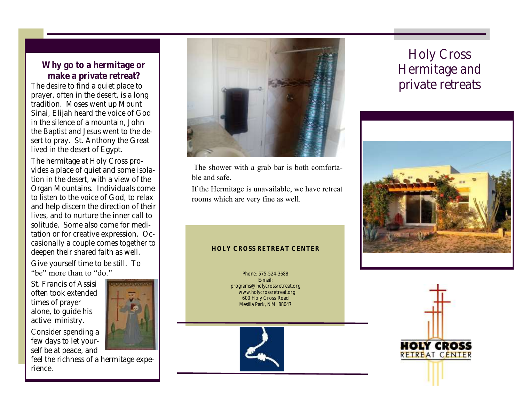Why go to a hermitage or make a private retreat? The desire to find a quiet place to prayer, often in the desert, is a long tradition. Moses went up Mount Sinai, Elijah heard the voice of God in the silence of a mountain, John the Baptist and Jesus went to the desert to pray. St. Anthony the Great lived in the desert of Egypt.

The hermitage at Holy Cross provides a place of quiet and some isolation in the desert, with a view of the Organ Mountains. Individuals come to listen to the voice of God, to relax and help discern the direction of their lives, and to nurture the inner call to solitude. Some also come for meditation or for creative expression. Occasionally a couple comes together to deepen their shared faith as well.

Give yourself time to be still. To "be" more than to "do."

St. Francis of Assisi often took extended times of prayer alone, to guide his active ministry.

Consider spending a few days to let yourself be at peace, and



feel the richness of a hermitage experience.



The shower with a grab bar is both comfortable and safe.

If the Hermitage is unavailable, we have retreat rooms which are very fine as well.

#### HOLY CROSS RETREAT CENTER

Phone: 575-524-3688 E-mail: programs@holycrossretreat.org www.holycrossretreat.org 600 Holy Cross Road Mesilla Park, NM 88047



## Holy Cross Hermitage and private retreats